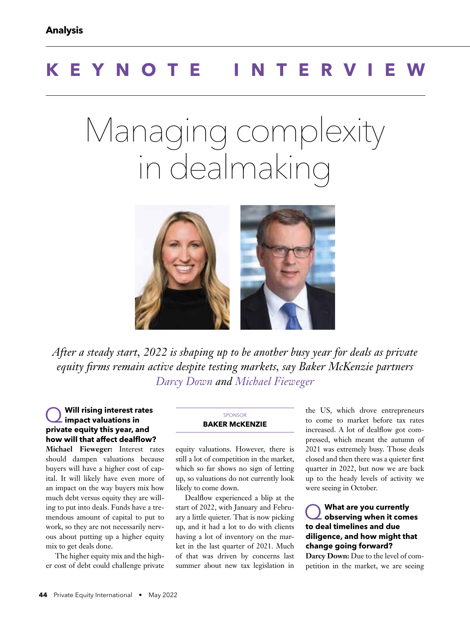# **KEYNOTE INTERVIEW**

# Managing complexity in dealmaking



*After a steady start, 2022 is shaping up to be another busy year for deals as private equity firms remain active despite testing markets, say Baker McKenzie partners Darcy Down and Michael Fieweger*

#### Q **Will rising interest rates impact valuations in private equity this year, and how will that affect dealflow?**

**Michael Fieweger:** Interest rates should dampen valuations because buyers will have a higher cost of capital. It will likely have even more of an impact on the way buyers mix how much debt versus equity they are willing to put into deals. Funds have a tremendous amount of capital to put to work, so they are not necessarily nervous about putting up a higher equity mix to get deals done.

The higher equity mix and the higher cost of debt could challenge private

#### **SPONSOR BAKER McKENZIE**

equity valuations. However, there is still a lot of competition in the market, which so far shows no sign of letting up, so valuations do not currently look likely to come down.

Dealflow experienced a blip at the start of 2022, with January and February a little quieter. That is now picking up, and it had a lot to do with clients having a lot of inventory on the market in the last quarter of 2021. Much of that was driven by concerns last summer about new tax legislation in the US, which drove entrepreneurs to come to market before tax rates increased. A lot of dealflow got compressed, which meant the autumn of 2021 was extremely busy. Those deals closed and then there was a quieter first quarter in 2022, but now we are back up to the heady levels of activity we were seeing in October.

Q **What are you currently observing when it comes to deal timelines and due diligence, and how might that change going forward?**

**Darcy Down:** Due to the level of competition in the market, we are seeing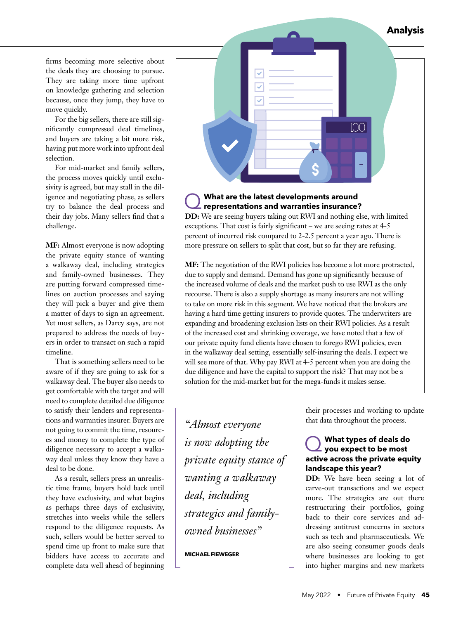**Analysis**

firms becoming more selective about the deals they are choosing to pursue. They are taking more time upfront on knowledge gathering and selection because, once they jump, they have to move quickly.

For the big sellers, there are still significantly compressed deal timelines, and buyers are taking a bit more risk, having put more work into upfront deal selection.

For mid-market and family sellers, the process moves quickly until exclusivity is agreed, but may stall in the diligence and negotiating phase, as sellers try to balance the deal process and their day jobs. Many sellers find that a challenge.

**MF:** Almost everyone is now adopting the private equity stance of wanting a walkaway deal, including strategics and family-owned businesses. They are putting forward compressed timelines on auction processes and saying they will pick a buyer and give them a matter of days to sign an agreement. Yet most sellers, as Darcy says, are not prepared to address the needs of buyers in order to transact on such a rapid timeline.

That is something sellers need to be aware of if they are going to ask for a walkaway deal. The buyer also needs to get comfortable with the target and will need to complete detailed due diligence to satisfy their lenders and representations and warranties insurer. Buyers are not going to commit the time, resources and money to complete the type of diligence necessary to accept a walkaway deal unless they know they have a deal to be done.

As a result, sellers press an unrealistic time frame, buyers hold back until they have exclusivity, and what begins as perhaps three days of exclusivity, stretches into weeks while the sellers respond to the diligence requests. As such, sellers would be better served to spend time up front to make sure that bidders have access to accurate and complete data well ahead of beginning



# Q **What are the latest developments around representations and warranties insurance?**

**DD:** We are seeing buyers taking out RWI and nothing else, with limited exceptions. That cost is fairly significant – we are seeing rates at 4-5 percent of incurred risk compared to 2-2.5 percent a year ago. There is more pressure on sellers to split that cost, but so far they are refusing.

**MF:** The negotiation of the RWI policies has become a lot more protracted, due to supply and demand. Demand has gone up significantly because of the increased volume of deals and the market push to use RWI as the only recourse. There is also a supply shortage as many insurers are not willing to take on more risk in this segment. We have noticed that the brokers are having a hard time getting insurers to provide quotes. The underwriters are expanding and broadening exclusion lists on their RWI policies. As a result of the increased cost and shrinking coverage, we have noted that a few of our private equity fund clients have chosen to forego RWI policies, even in the walkaway deal setting, essentially self-insuring the deals. I expect we will see more of that. Why pay RWI at 4-5 percent when you are doing the due diligence and have the capital to support the risk? That may not be a solution for the mid-market but for the mega-funds it makes sense.

*"Almost everyone is now adopting the private equity stance of wanting a walkaway deal, including strategics and familyowned businesses"*

#### **MICHAEL FIEWEGER**

their processes and working to update that data throughout the process.

## Q **What types of deals do you expect to be most active across the private equity landscape this year?**

**DD:** We have been seeing a lot of carve-out transactions and we expect more. The strategics are out there restructuring their portfolios, going back to their core services and addressing antitrust concerns in sectors such as tech and pharmaceuticals. We are also seeing consumer goods deals where businesses are looking to get into higher margins and new markets